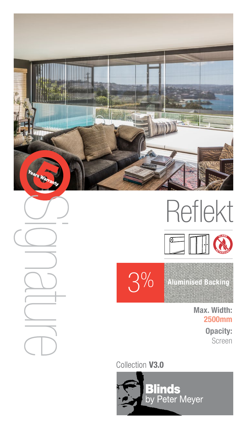

Reflekt





 $3\%$  Aluminised Backing

Max. Width: 2500mm Opacity: Screen

Collection V3.0

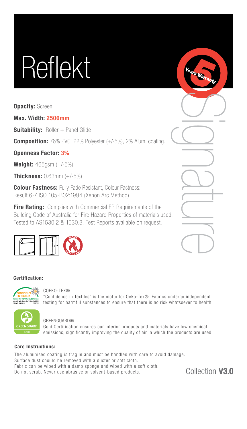# Reflekt

**Opacity: Screen** 

Max. Width: 2500mm

**Suitability: Roller + Panel Glide** 

**Composition:** 76% PVC, 22% Polyester (+/-5%), 2% Alum. coating.

Openness Factor: 3%

**Weight:**  $465$ gsm  $(+/-5%)$ 

Thickness: 0.63mm (+/-5%)

**Colour Fastness: Fully Fade Resistant, Colour Fastness:** Result 6-7 ISO 105-B02:1994 (Xenon Arc Method)

**Fire Rating:** Complies with Commercial FR Requirements of the Building Code of Australia for Fire Hazard Properties of materials used. Tested to AS1530.2 & 1530.3. Test Reports available on request.



|    | <b>Contract Contract</b>           |
|----|------------------------------------|
|    |                                    |
|    | <b>Contract</b>                    |
|    |                                    |
| I. |                                    |
|    | ٠<br><b>Contract Contract</b><br>ł |
|    |                                    |

# Certification:



### COEKO-TEX®

"Confidence in Textiles" is the motto for Oeko-Tex®. Fabrics undergo independent testing for harmful substances to ensure that there is no risk whatsoever to health.



### GREENGUARD®

Gold Certification ensures our interior products and materials have low chemical emissions, significantly improving the quality of air in which the products are used.

# Care Instructions:

The aluminised coating is fragile and must be handled with care to avoid damage. Surface dust should be removed with a duster or soft cloth. Fabric can be wiped with a damp sponge and wiped with a soft cloth. Do not scrub. Never use abrasive or solvent-based products.

Collection V3.0